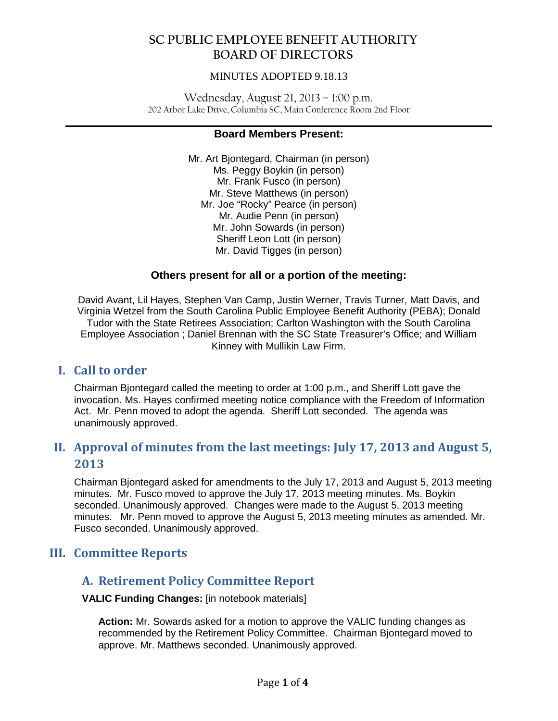### MINUTES ADOPTED 9.18.13

Wednesday, August 21, 2013 – 1:00 p.m. 202 Arbor Lake Drive, Columbia SC, Main Conference Room 2nd Floor

#### **\_\_\_\_\_\_\_\_\_\_\_\_\_\_\_\_\_\_\_\_\_\_\_\_\_\_\_\_\_\_\_\_\_\_\_\_\_\_\_\_\_\_\_\_\_\_\_\_\_\_\_\_\_\_\_\_\_\_\_\_\_\_\_\_\_\_\_\_\_\_\_\_\_\_\_\_\_\_ Board Members Present:**

Mr. Art Bjontegard, Chairman (in person) Ms. Peggy Boykin (in person) Mr. Frank Fusco (in person) Mr. Steve Matthews (in person) Mr. Joe "Rocky" Pearce (in person) Mr. Audie Penn (in person) Mr. John Sowards (in person) Sheriff Leon Lott (in person) Mr. David Tigges (in person)

### **Others present for all or a portion of the meeting:**

David Avant, Lil Hayes, Stephen Van Camp, Justin Werner, Travis Turner, Matt Davis, and Virginia Wetzel from the South Carolina Public Employee Benefit Authority (PEBA); Donald Tudor with the State Retirees Association; Carlton Washington with the South Carolina Employee Association ; Daniel Brennan with the SC State Treasurer's Office; and William Kinney with Mullikin Law Firm.

## **I. Call to order**

Chairman Bjontegard called the meeting to order at 1:00 p.m., and Sheriff Lott gave the invocation. Ms. Hayes confirmed meeting notice compliance with the Freedom of Information Act. Mr. Penn moved to adopt the agenda. Sheriff Lott seconded. The agenda was unanimously approved.

# **II. Approval of minutes from the last meetings: July 17, 2013 and August 5, 2013**

Chairman Bjontegard asked for amendments to the July 17, 2013 and August 5, 2013 meeting minutes. Mr. Fusco moved to approve the July 17, 2013 meeting minutes. Ms. Boykin seconded. Unanimously approved. Changes were made to the August 5, 2013 meeting minutes. Mr. Penn moved to approve the August 5, 2013 meeting minutes as amended. Mr. Fusco seconded. Unanimously approved.

## **III. Committee Reports**

## **A. Retirement Policy Committee Report**

**VALIC Funding Changes:** [in notebook materials]

**Action:** Mr. Sowards asked for a motion to approve the VALIC funding changes as recommended by the Retirement Policy Committee. Chairman Bjontegard moved to approve. Mr. Matthews seconded. Unanimously approved.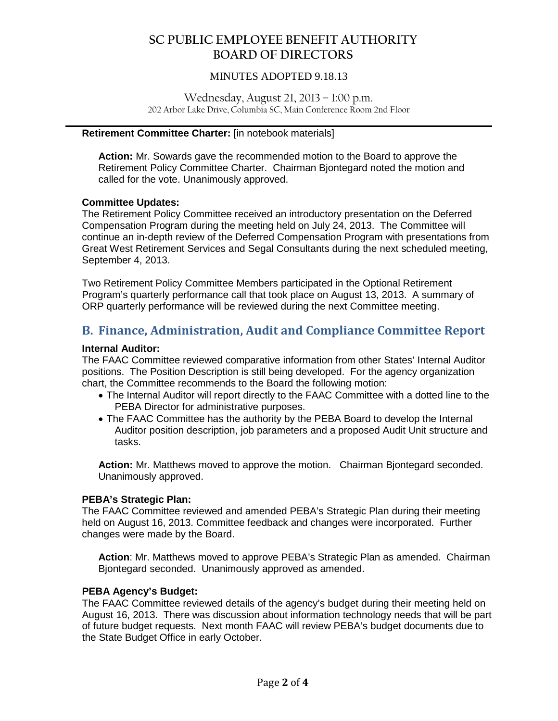### MINUTES ADOPTED 9.18.13

Wednesday, August 21, 2013 – 1:00 p.m. 202 Arbor Lake Drive, Columbia SC, Main Conference Room 2nd Floor

**\_\_\_\_\_\_\_\_\_\_\_\_\_\_\_\_\_\_\_\_\_\_\_\_\_\_\_\_\_\_\_\_\_\_\_\_\_\_\_\_\_\_\_\_\_\_\_\_\_\_\_\_\_\_\_\_\_\_\_\_\_\_\_\_\_\_\_\_\_\_\_\_\_\_\_\_\_\_**

#### **Retirement Committee Charter:** [in notebook materials]

**Action:** Mr. Sowards gave the recommended motion to the Board to approve the Retirement Policy Committee Charter. Chairman Bjontegard noted the motion and called for the vote. Unanimously approved.

#### **Committee Updates:**

The Retirement Policy Committee received an introductory presentation on the Deferred Compensation Program during the meeting held on July 24, 2013. The Committee will continue an in-depth review of the Deferred Compensation Program with presentations from Great West Retirement Services and Segal Consultants during the next scheduled meeting, September 4, 2013.

Two Retirement Policy Committee Members participated in the Optional Retirement Program's quarterly performance call that took place on August 13, 2013. A summary of ORP quarterly performance will be reviewed during the next Committee meeting.

## **B. Finance, Administration, Audit and Compliance Committee Report**

#### **Internal Auditor:**

The FAAC Committee reviewed comparative information from other States' Internal Auditor positions. The Position Description is still being developed. For the agency organization chart, the Committee recommends to the Board the following motion:

- The Internal Auditor will report directly to the FAAC Committee with a dotted line to the PEBA Director for administrative purposes.
- The FAAC Committee has the authority by the PEBA Board to develop the Internal Auditor position description, job parameters and a proposed Audit Unit structure and tasks.

**Action:** Mr. Matthews moved to approve the motion. Chairman Bjontegard seconded. Unanimously approved.

#### **PEBA's Strategic Plan:**

The FAAC Committee reviewed and amended PEBA's Strategic Plan during their meeting held on August 16, 2013. Committee feedback and changes were incorporated. Further changes were made by the Board.

**Action**: Mr. Matthews moved to approve PEBA's Strategic Plan as amended. Chairman Bjontegard seconded. Unanimously approved as amended.

#### **PEBA Agency's Budget:**

The FAAC Committee reviewed details of the agency's budget during their meeting held on August 16, 2013. There was discussion about information technology needs that will be part of future budget requests. Next month FAAC will review PEBA's budget documents due to the State Budget Office in early October.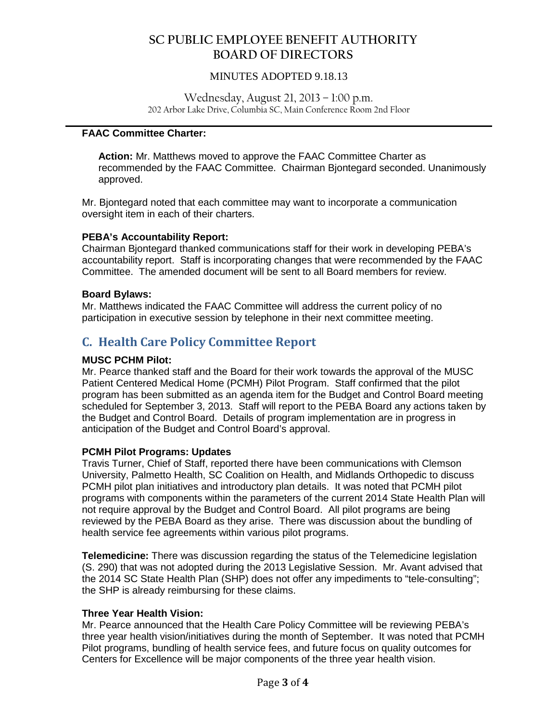### MINUTES ADOPTED 9.18.13

Wednesday, August 21, 2013 – 1:00 p.m. 202 Arbor Lake Drive, Columbia SC, Main Conference Room 2nd Floor

#### **\_\_\_\_\_\_\_\_\_\_\_\_\_\_\_\_\_\_\_\_\_\_\_\_\_\_\_\_\_\_\_\_\_\_\_\_\_\_\_\_\_\_\_\_\_\_\_\_\_\_\_\_\_\_\_\_\_\_\_\_\_\_\_\_\_\_\_\_\_\_\_\_\_\_\_\_\_\_ FAAC Committee Charter:**

**Action:** Mr. Matthews moved to approve the FAAC Committee Charter as recommended by the FAAC Committee. Chairman Bjontegard seconded. Unanimously approved.

Mr. Bjontegard noted that each committee may want to incorporate a communication oversight item in each of their charters.

#### **PEBA's Accountability Report:**

Chairman Bjontegard thanked communications staff for their work in developing PEBA's accountability report. Staff is incorporating changes that were recommended by the FAAC Committee. The amended document will be sent to all Board members for review.

#### **Board Bylaws:**

Mr. Matthews indicated the FAAC Committee will address the current policy of no participation in executive session by telephone in their next committee meeting.

# **C. Health Care Policy Committee Report**

#### **MUSC PCHM Pilot:**

Mr. Pearce thanked staff and the Board for their work towards the approval of the MUSC Patient Centered Medical Home (PCMH) Pilot Program. Staff confirmed that the pilot program has been submitted as an agenda item for the Budget and Control Board meeting scheduled for September 3, 2013. Staff will report to the PEBA Board any actions taken by the Budget and Control Board. Details of program implementation are in progress in anticipation of the Budget and Control Board's approval.

#### **PCMH Pilot Programs: Updates**

Travis Turner, Chief of Staff, reported there have been communications with Clemson University, Palmetto Health, SC Coalition on Health, and Midlands Orthopedic to discuss PCMH pilot plan initiatives and introductory plan details. It was noted that PCMH pilot programs with components within the parameters of the current 2014 State Health Plan will not require approval by the Budget and Control Board. All pilot programs are being reviewed by the PEBA Board as they arise. There was discussion about the bundling of health service fee agreements within various pilot programs.

**Telemedicine:** There was discussion regarding the status of the Telemedicine legislation (S. 290) that was not adopted during the 2013 Legislative Session. Mr. Avant advised that the 2014 SC State Health Plan (SHP) does not offer any impediments to "tele-consulting"; the SHP is already reimbursing for these claims.

#### **Three Year Health Vision:**

Mr. Pearce announced that the Health Care Policy Committee will be reviewing PEBA's three year health vision/initiatives during the month of September. It was noted that PCMH Pilot programs, bundling of health service fees, and future focus on quality outcomes for Centers for Excellence will be major components of the three year health vision.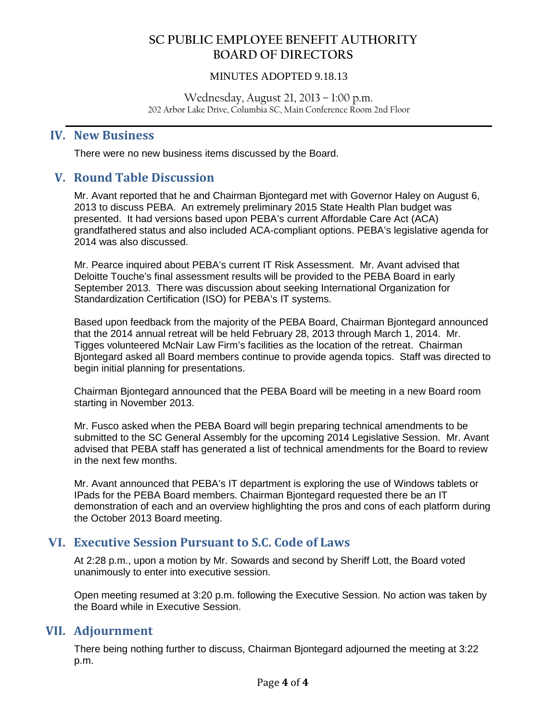### MINUTES ADOPTED 9.18.13

Wednesday, August 21, 2013 – 1:00 p.m. 202 Arbor Lake Drive, Columbia SC, Main Conference Room 2nd Floor

**\_\_\_\_\_\_\_\_\_\_\_\_\_\_\_\_\_\_\_\_\_\_\_\_\_\_\_\_\_\_\_\_\_\_\_\_\_\_\_\_\_\_\_\_\_\_\_\_\_\_\_\_\_\_\_\_\_\_\_\_\_\_\_\_\_\_\_\_\_\_\_\_\_\_\_\_\_\_**

## **IV. New Business**

There were no new business items discussed by the Board.

## **V. Round Table Discussion**

Mr. Avant reported that he and Chairman Bjontegard met with Governor Haley on August 6, 2013 to discuss PEBA. An extremely preliminary 2015 State Health Plan budget was presented. It had versions based upon PEBA's current Affordable Care Act (ACA) grandfathered status and also included ACA-compliant options. PEBA's legislative agenda for 2014 was also discussed.

Mr. Pearce inquired about PEBA's current IT Risk Assessment. Mr. Avant advised that Deloitte Touche's final assessment results will be provided to the PEBA Board in early September 2013. There was discussion about seeking International Organization for Standardization Certification (ISO) for PEBA's IT systems.

Based upon feedback from the majority of the PEBA Board, Chairman Bjontegard announced that the 2014 annual retreat will be held February 28, 2013 through March 1, 2014. Mr. Tigges volunteered McNair Law Firm's facilities as the location of the retreat. Chairman Bjontegard asked all Board members continue to provide agenda topics. Staff was directed to begin initial planning for presentations.

Chairman Bjontegard announced that the PEBA Board will be meeting in a new Board room starting in November 2013.

Mr. Fusco asked when the PEBA Board will begin preparing technical amendments to be submitted to the SC General Assembly for the upcoming 2014 Legislative Session. Mr. Avant advised that PEBA staff has generated a list of technical amendments for the Board to review in the next few months.

Mr. Avant announced that PEBA's IT department is exploring the use of Windows tablets or IPads for the PEBA Board members. Chairman Bjontegard requested there be an IT demonstration of each and an overview highlighting the pros and cons of each platform during the October 2013 Board meeting.

## **VI. Executive Session Pursuant to S.C. Code of Laws**

At 2:28 p.m., upon a motion by Mr. Sowards and second by Sheriff Lott, the Board voted unanimously to enter into executive session.

Open meeting resumed at 3:20 p.m. following the Executive Session. No action was taken by the Board while in Executive Session.

## **VII. Adjournment**

There being nothing further to discuss, Chairman Bjontegard adjourned the meeting at 3:22 p.m.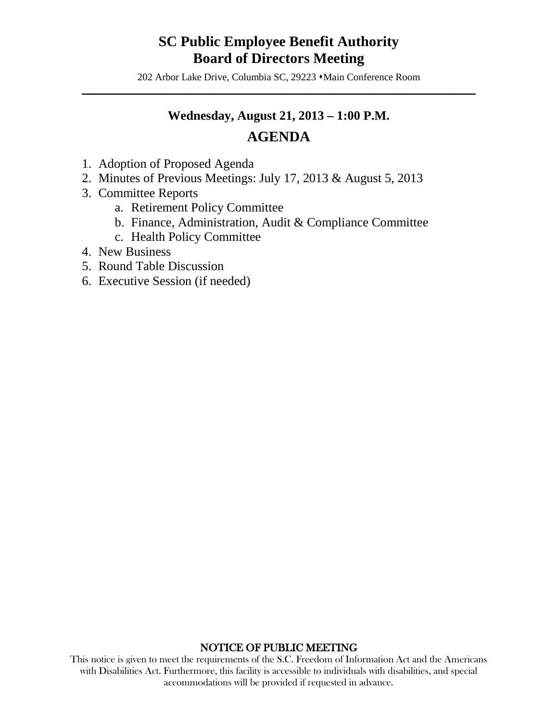# **SC Public Employee Benefit Authority Board of Directors Meeting**

202 Arbor Lake Drive, Columbia SC, 29223  $\cdot$ Main Conference Room  $\mathcal{L} = \{ \mathcal{L} \mid \mathcal{L} \in \mathcal{L} \}$ 

## **Wednesday, August 21, 2013 – 1:00 P.M.**

# **AGENDA**

- 1. Adoption of Proposed Agenda
- 2. Minutes of Previous Meetings: July 17, 2013 & August 5, 2013
- 3. Committee Reports
	- a. Retirement Policy Committee
	- b. Finance, Administration, Audit & Compliance Committee
	- c. Health Policy Committee
- 4. New Business
- 5. Round Table Discussion
- 6. Executive Session (if needed)

### NOTICE OF PUBLIC MEETING

This notice is given to meet the requirements of the S.C. Freedom of Information Act and the Americans with Disabilities Act. Furthermore, this facility is accessible to individuals with disabilities, and special accommodations will be provided if requested in advance.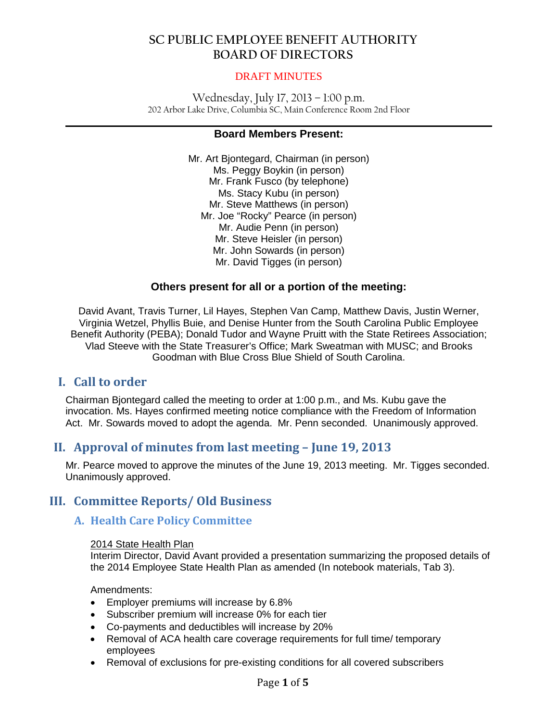#### DRAFT MINUTES

Wednesday, July 17, 2013 – 1:00 p.m. 202 Arbor Lake Drive, Columbia SC, Main Conference Room 2nd Floor

#### **\_\_\_\_\_\_\_\_\_\_\_\_\_\_\_\_\_\_\_\_\_\_\_\_\_\_\_\_\_\_\_\_\_\_\_\_\_\_\_\_\_\_\_\_\_\_\_\_\_\_\_\_\_\_\_\_\_\_\_\_\_\_\_\_\_\_\_\_\_\_\_\_\_\_\_\_\_\_ Board Members Present:**

Mr. Art Bjontegard, Chairman (in person) Ms. Peggy Boykin (in person) Mr. Frank Fusco (by telephone) Ms. Stacy Kubu (in person) Mr. Steve Matthews (in person) Mr. Joe "Rocky" Pearce (in person) Mr. Audie Penn (in person) Mr. Steve Heisler (in person) Mr. John Sowards (in person) Mr. David Tigges (in person)

### **Others present for all or a portion of the meeting:**

David Avant, Travis Turner, Lil Hayes, Stephen Van Camp, Matthew Davis, Justin Werner, Virginia Wetzel, Phyllis Buie, and Denise Hunter from the South Carolina Public Employee Benefit Authority (PEBA); Donald Tudor and Wayne Pruitt with the State Retirees Association; Vlad Steeve with the State Treasurer's Office; Mark Sweatman with MUSC; and Brooks Goodman with Blue Cross Blue Shield of South Carolina.

## **I. Call to order**

Chairman Bjontegard called the meeting to order at 1:00 p.m., and Ms. Kubu gave the invocation. Ms. Hayes confirmed meeting notice compliance with the Freedom of Information Act. Mr. Sowards moved to adopt the agenda. Mr. Penn seconded. Unanimously approved.

## **II. Approval of minutes from last meeting – June 19, 2013**

Mr. Pearce moved to approve the minutes of the June 19, 2013 meeting. Mr. Tigges seconded. Unanimously approved.

## **III. Committee Reports/ Old Business**

## **A. Health Care Policy Committee**

#### 2014 State Health Plan

Interim Director, David Avant provided a presentation summarizing the proposed details of the 2014 Employee State Health Plan as amended (In notebook materials, Tab 3).

Amendments:

- Employer premiums will increase by 6.8%
- Subscriber premium will increase 0% for each tier
- Co-payments and deductibles will increase by 20%
- Removal of ACA health care coverage requirements for full time/ temporary employees
- Removal of exclusions for pre-existing conditions for all covered subscribers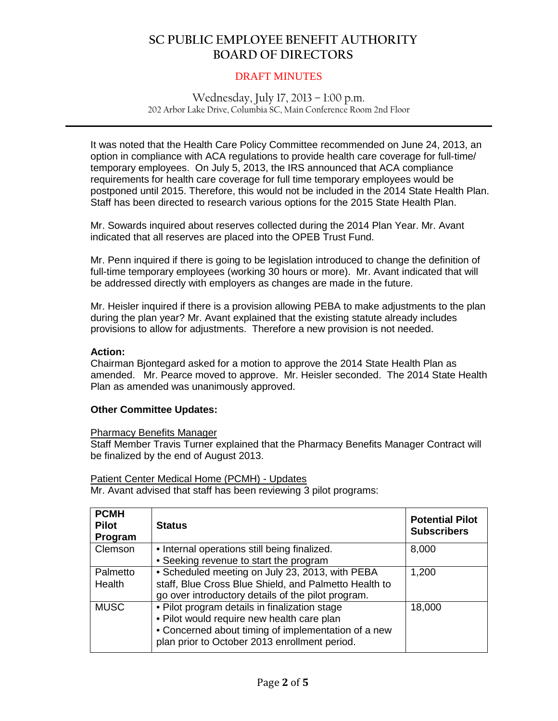#### DRAFT MINUTES

Wednesday, July 17, 2013 – 1:00 p.m. 202 Arbor Lake Drive, Columbia SC, Main Conference Room 2nd Floor

**\_\_\_\_\_\_\_\_\_\_\_\_\_\_\_\_\_\_\_\_\_\_\_\_\_\_\_\_\_\_\_\_\_\_\_\_\_\_\_\_\_\_\_\_\_\_\_\_\_\_\_\_\_\_\_\_\_\_\_\_\_\_\_\_\_\_\_\_\_\_\_\_\_\_\_\_\_\_**

It was noted that the Health Care Policy Committee recommended on June 24, 2013, an option in compliance with ACA regulations to provide health care coverage for full-time/ temporary employees. On July 5, 2013, the IRS announced that ACA compliance requirements for health care coverage for full time temporary employees would be postponed until 2015. Therefore, this would not be included in the 2014 State Health Plan. Staff has been directed to research various options for the 2015 State Health Plan.

Mr. Sowards inquired about reserves collected during the 2014 Plan Year. Mr. Avant indicated that all reserves are placed into the OPEB Trust Fund.

Mr. Penn inquired if there is going to be legislation introduced to change the definition of full-time temporary employees (working 30 hours or more). Mr. Avant indicated that will be addressed directly with employers as changes are made in the future.

Mr. Heisler inquired if there is a provision allowing PEBA to make adjustments to the plan during the plan year? Mr. Avant explained that the existing statute already includes provisions to allow for adjustments. Therefore a new provision is not needed.

#### **Action:**

Chairman Bjontegard asked for a motion to approve the 2014 State Health Plan as amended. Mr. Pearce moved to approve. Mr. Heisler seconded. The 2014 State Health Plan as amended was unanimously approved.

#### **Other Committee Updates:**

#### Pharmacy Benefits Manager

Staff Member Travis Turner explained that the Pharmacy Benefits Manager Contract will be finalized by the end of August 2013.

#### Patient Center Medical Home (PCMH) - Updates

Mr. Avant advised that staff has been reviewing 3 pilot programs:

| <b>PCMH</b><br><b>Pilot</b><br>Program | <b>Status</b>                                                                                                                                                                                       | <b>Potential Pilot</b><br><b>Subscribers</b> |
|----------------------------------------|-----------------------------------------------------------------------------------------------------------------------------------------------------------------------------------------------------|----------------------------------------------|
| Clemson                                | • Internal operations still being finalized.<br>• Seeking revenue to start the program                                                                                                              | 8,000                                        |
| Palmetto<br>Health                     | • Scheduled meeting on July 23, 2013, with PEBA<br>staff, Blue Cross Blue Shield, and Palmetto Health to<br>go over introductory details of the pilot program.                                      | 1,200                                        |
| <b>MUSC</b>                            | . Pilot program details in finalization stage<br>. Pilot would require new health care plan<br>• Concerned about timing of implementation of a new<br>plan prior to October 2013 enrollment period. | 18,000                                       |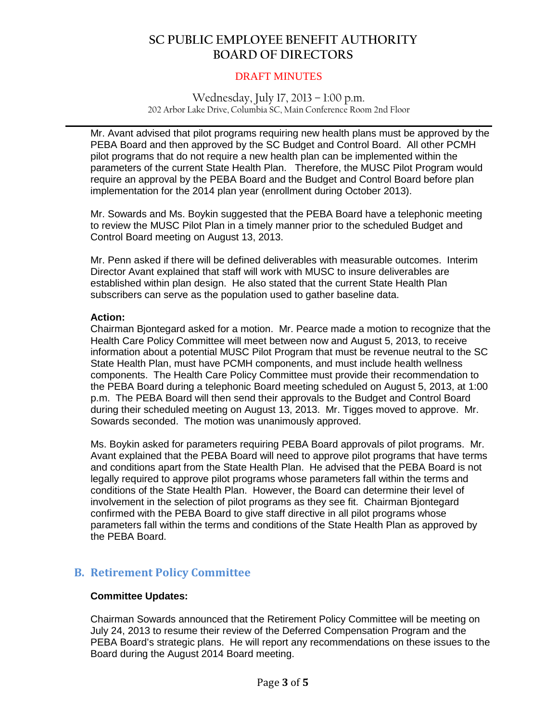#### DRAFT MINUTES

#### Wednesday, July 17, 2013 – 1:00 p.m. 202 Arbor Lake Drive, Columbia SC, Main Conference Room 2nd Floor

**\_\_\_\_\_\_\_\_\_\_\_\_\_\_\_\_\_\_\_\_\_\_\_\_\_\_\_\_\_\_\_\_\_\_\_\_\_\_\_\_\_\_\_\_\_\_\_\_\_\_\_\_\_\_\_\_\_\_\_\_\_\_\_\_\_\_\_\_\_\_\_\_\_\_\_\_\_\_**

Mr. Avant advised that pilot programs requiring new health plans must be approved by the PEBA Board and then approved by the SC Budget and Control Board. All other PCMH pilot programs that do not require a new health plan can be implemented within the parameters of the current State Health Plan. Therefore, the MUSC Pilot Program would require an approval by the PEBA Board and the Budget and Control Board before plan implementation for the 2014 plan year (enrollment during October 2013).

Mr. Sowards and Ms. Boykin suggested that the PEBA Board have a telephonic meeting to review the MUSC Pilot Plan in a timely manner prior to the scheduled Budget and Control Board meeting on August 13, 2013.

Mr. Penn asked if there will be defined deliverables with measurable outcomes. Interim Director Avant explained that staff will work with MUSC to insure deliverables are established within plan design. He also stated that the current State Health Plan subscribers can serve as the population used to gather baseline data.

#### **Action:**

Chairman Bjontegard asked for a motion. Mr. Pearce made a motion to recognize that the Health Care Policy Committee will meet between now and August 5, 2013, to receive information about a potential MUSC Pilot Program that must be revenue neutral to the SC State Health Plan, must have PCMH components, and must include health wellness components. The Health Care Policy Committee must provide their recommendation to the PEBA Board during a telephonic Board meeting scheduled on August 5, 2013, at 1:00 p.m. The PEBA Board will then send their approvals to the Budget and Control Board during their scheduled meeting on August 13, 2013. Mr. Tigges moved to approve. Mr. Sowards seconded. The motion was unanimously approved.

Ms. Boykin asked for parameters requiring PEBA Board approvals of pilot programs. Mr. Avant explained that the PEBA Board will need to approve pilot programs that have terms and conditions apart from the State Health Plan. He advised that the PEBA Board is not legally required to approve pilot programs whose parameters fall within the terms and conditions of the State Health Plan. However, the Board can determine their level of involvement in the selection of pilot programs as they see fit. Chairman Bjontegard confirmed with the PEBA Board to give staff directive in all pilot programs whose parameters fall within the terms and conditions of the State Health Plan as approved by the PEBA Board.

## **B. Retirement Policy Committee**

#### **Committee Updates:**

Chairman Sowards announced that the Retirement Policy Committee will be meeting on July 24, 2013 to resume their review of the Deferred Compensation Program and the PEBA Board's strategic plans. He will report any recommendations on these issues to the Board during the August 2014 Board meeting.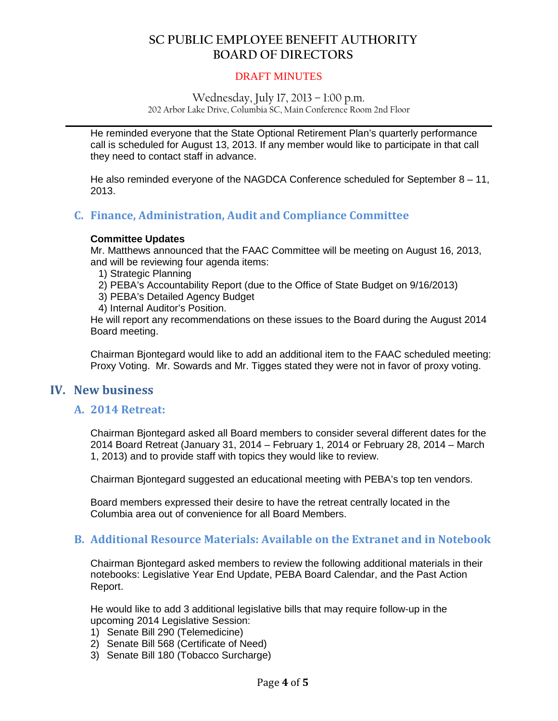#### DRAFT MINUTES

Wednesday, July 17, 2013 – 1:00 p.m. 202 Arbor Lake Drive, Columbia SC, Main Conference Room 2nd Floor

**\_\_\_\_\_\_\_\_\_\_\_\_\_\_\_\_\_\_\_\_\_\_\_\_\_\_\_\_\_\_\_\_\_\_\_\_\_\_\_\_\_\_\_\_\_\_\_\_\_\_\_\_\_\_\_\_\_\_\_\_\_\_\_\_\_\_\_\_\_\_\_\_\_\_\_\_\_\_**

He reminded everyone that the State Optional Retirement Plan's quarterly performance call is scheduled for August 13, 2013. If any member would like to participate in that call they need to contact staff in advance.

He also reminded everyone of the NAGDCA Conference scheduled for September 8 – 11, 2013.

## **C. Finance, Administration, Audit and Compliance Committee**

#### **Committee Updates**

Mr. Matthews announced that the FAAC Committee will be meeting on August 16, 2013, and will be reviewing four agenda items:

1) Strategic Planning

2) PEBA's Accountability Report (due to the Office of State Budget on 9/16/2013)

3) PEBA's Detailed Agency Budget

4) Internal Auditor's Position.

He will report any recommendations on these issues to the Board during the August 2014 Board meeting.

Chairman Bjontegard would like to add an additional item to the FAAC scheduled meeting: Proxy Voting. Mr. Sowards and Mr. Tigges stated they were not in favor of proxy voting.

## **IV. New business**

## **A. 2014 Retreat:**

Chairman Bjontegard asked all Board members to consider several different dates for the 2014 Board Retreat (January 31, 2014 – February 1, 2014 or February 28, 2014 – March 1, 2013) and to provide staff with topics they would like to review.

Chairman Bjontegard suggested an educational meeting with PEBA's top ten vendors.

Board members expressed their desire to have the retreat centrally located in the Columbia area out of convenience for all Board Members.

#### **B. Additional Resource Materials: Available on the Extranet and in Notebook**

Chairman Bjontegard asked members to review the following additional materials in their notebooks: Legislative Year End Update, PEBA Board Calendar, and the Past Action Report.

He would like to add 3 additional legislative bills that may require follow-up in the upcoming 2014 Legislative Session:

- 1) Senate Bill 290 (Telemedicine)
- 2) Senate Bill 568 (Certificate of Need)
- 3) Senate Bill 180 (Tobacco Surcharge)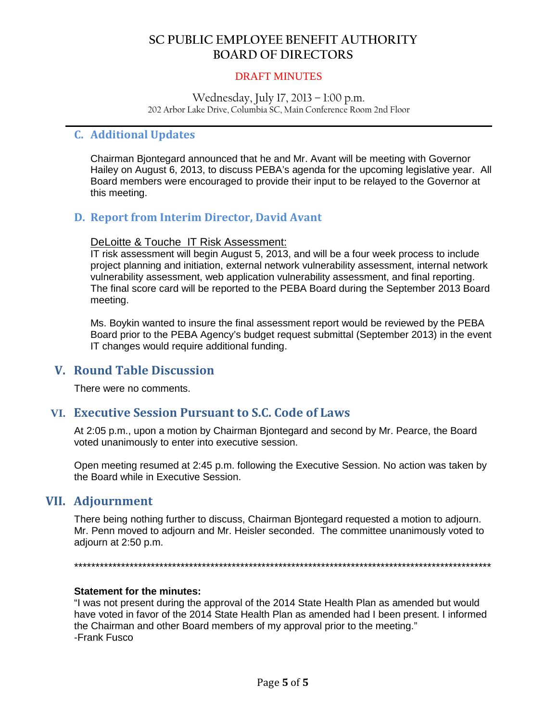#### DRAFT MINUTES

Wednesday, July 17, 2013 – 1:00 p.m. 202 Arbor Lake Drive, Columbia SC, Main Conference Room 2nd Floor

**\_\_\_\_\_\_\_\_\_\_\_\_\_\_\_\_\_\_\_\_\_\_\_\_\_\_\_\_\_\_\_\_\_\_\_\_\_\_\_\_\_\_\_\_\_\_\_\_\_\_\_\_\_\_\_\_\_\_\_\_\_\_\_\_\_\_\_\_\_\_\_\_\_\_\_\_\_\_**

## **C. Additional Updates**

Chairman Bjontegard announced that he and Mr. Avant will be meeting with Governor Hailey on August 6, 2013, to discuss PEBA's agenda for the upcoming legislative year. All Board members were encouraged to provide their input to be relayed to the Governor at this meeting.

## **D. Report from Interim Director, David Avant**

#### DeLoitte & Touche IT Risk Assessment:

IT risk assessment will begin August 5, 2013, and will be a four week process to include project planning and initiation, external network vulnerability assessment, internal network vulnerability assessment, web application vulnerability assessment, and final reporting. The final score card will be reported to the PEBA Board during the September 2013 Board meeting.

Ms. Boykin wanted to insure the final assessment report would be reviewed by the PEBA Board prior to the PEBA Agency's budget request submittal (September 2013) in the event IT changes would require additional funding.

## **V. Round Table Discussion**

There were no comments.

## **VI. Executive Session Pursuant to S.C. Code of Laws**

At 2:05 p.m., upon a motion by Chairman Bjontegard and second by Mr. Pearce, the Board voted unanimously to enter into executive session.

Open meeting resumed at 2:45 p.m. following the Executive Session. No action was taken by the Board while in Executive Session.

## **VII. Adjournment**

There being nothing further to discuss, Chairman Bjontegard requested a motion to adjourn. Mr. Penn moved to adjourn and Mr. Heisler seconded. The committee unanimously voted to adjourn at 2:50 p.m.

\*\*\*\*\*\*\*\*\*\*\*\*\*\*\*\*\*\*\*\*\*\*\*\*\*\*\*\*\*\*\*\*\*\*\*\*\*\*\*\*\*\*\*\*\*\*\*\*\*\*\*\*\*\*\*\*\*\*\*\*\*\*\*\*\*\*\*\*\*\*\*\*\*\*\*\*\*\*\*\*\*\*\*\*\*\*\*\*\*\*\*\*\*\*\*\*\*\*

#### **Statement for the minutes:**

"I was not present during the approval of the 2014 State Health Plan as amended but would have voted in favor of the 2014 State Health Plan as amended had I been present. I informed the Chairman and other Board members of my approval prior to the meeting." -Frank Fusco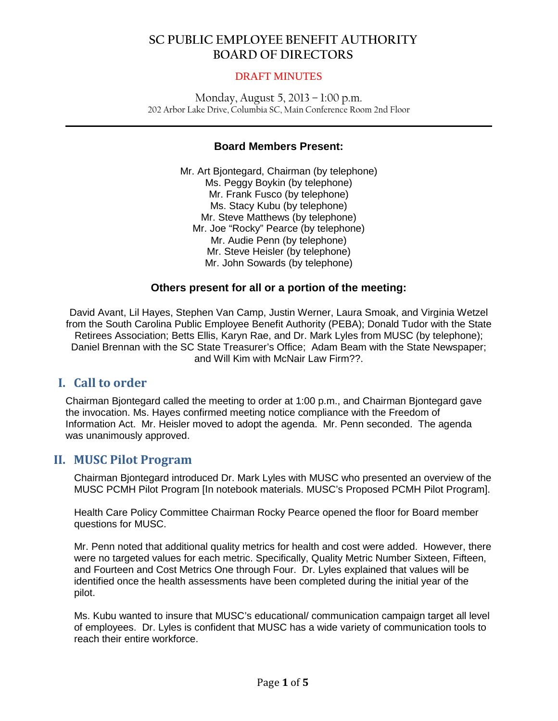#### DRAFT MINUTES

Monday, August 5, 2013 – 1:00 p.m. 202 Arbor Lake Drive, Columbia SC, Main Conference Room 2nd Floor

**\_\_\_\_\_\_\_\_\_\_\_\_\_\_\_\_\_\_\_\_\_\_\_\_\_\_\_\_\_\_\_\_\_\_\_\_\_\_\_\_\_\_\_\_\_\_\_\_\_\_\_\_\_\_\_\_\_\_\_\_\_\_\_\_\_\_\_\_\_\_\_\_\_\_\_\_\_\_**

### **Board Members Present:**

Mr. Art Bjontegard, Chairman (by telephone) Ms. Peggy Boykin (by telephone) Mr. Frank Fusco (by telephone) Ms. Stacy Kubu (by telephone) Mr. Steve Matthews (by telephone) Mr. Joe "Rocky" Pearce (by telephone) Mr. Audie Penn (by telephone) Mr. Steve Heisler (by telephone) Mr. John Sowards (by telephone)

## **Others present for all or a portion of the meeting:**

David Avant, Lil Hayes, Stephen Van Camp, Justin Werner, Laura Smoak, and Virginia Wetzel from the South Carolina Public Employee Benefit Authority (PEBA); Donald Tudor with the State Retirees Association; Betts Ellis, Karyn Rae, and Dr. Mark Lyles from MUSC (by telephone); Daniel Brennan with the SC State Treasurer's Office; Adam Beam with the State Newspaper; and Will Kim with McNair Law Firm??.

## **I. Call to order**

Chairman Bjontegard called the meeting to order at 1:00 p.m., and Chairman Bjontegard gave the invocation. Ms. Hayes confirmed meeting notice compliance with the Freedom of Information Act. Mr. Heisler moved to adopt the agenda. Mr. Penn seconded. The agenda was unanimously approved.

## **II. MUSC Pilot Program**

Chairman Bjontegard introduced Dr. Mark Lyles with MUSC who presented an overview of the MUSC PCMH Pilot Program [In notebook materials. MUSC's Proposed PCMH Pilot Program].

Health Care Policy Committee Chairman Rocky Pearce opened the floor for Board member questions for MUSC.

Mr. Penn noted that additional quality metrics for health and cost were added. However, there were no targeted values for each metric. Specifically, Quality Metric Number Sixteen, Fifteen, and Fourteen and Cost Metrics One through Four. Dr. Lyles explained that values will be identified once the health assessments have been completed during the initial year of the pilot.

Ms. Kubu wanted to insure that MUSC's educational/ communication campaign target all level of employees. Dr. Lyles is confident that MUSC has a wide variety of communication tools to reach their entire workforce.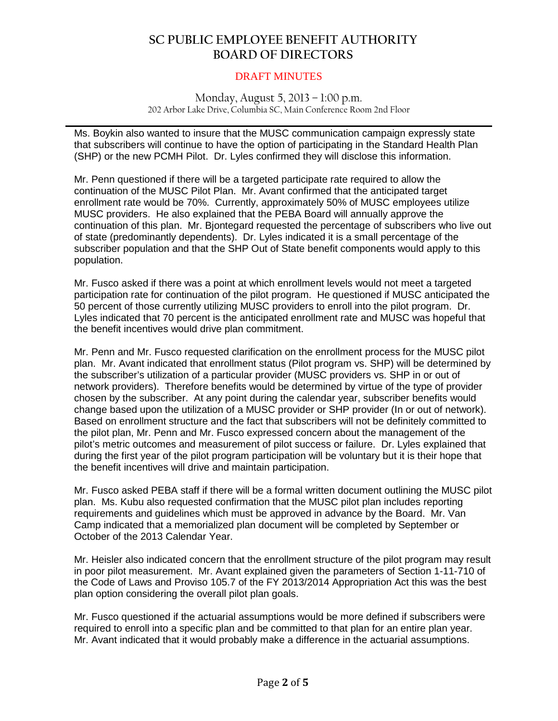#### DRAFT MINUTES

#### Monday, August 5, 2013 – 1:00 p.m. 202 Arbor Lake Drive, Columbia SC, Main Conference Room 2nd Floor

Ms. Boykin also wanted to insure that the MUSC communication campaign expressly state that subscribers will continue to have the option of participating in the Standard Health Plan (SHP) or the new PCMH Pilot. Dr. Lyles confirmed they will disclose this information.

**\_\_\_\_\_\_\_\_\_\_\_\_\_\_\_\_\_\_\_\_\_\_\_\_\_\_\_\_\_\_\_\_\_\_\_\_\_\_\_\_\_\_\_\_\_\_\_\_\_\_\_\_\_\_\_\_\_\_\_\_\_\_\_\_\_\_\_\_\_\_\_\_\_\_\_\_\_\_**

Mr. Penn questioned if there will be a targeted participate rate required to allow the continuation of the MUSC Pilot Plan. Mr. Avant confirmed that the anticipated target enrollment rate would be 70%. Currently, approximately 50% of MUSC employees utilize MUSC providers. He also explained that the PEBA Board will annually approve the continuation of this plan. Mr. Bjontegard requested the percentage of subscribers who live out of state (predominantly dependents). Dr. Lyles indicated it is a small percentage of the subscriber population and that the SHP Out of State benefit components would apply to this population.

Mr. Fusco asked if there was a point at which enrollment levels would not meet a targeted participation rate for continuation of the pilot program. He questioned if MUSC anticipated the 50 percent of those currently utilizing MUSC providers to enroll into the pilot program. Dr. Lyles indicated that 70 percent is the anticipated enrollment rate and MUSC was hopeful that the benefit incentives would drive plan commitment.

Mr. Penn and Mr. Fusco requested clarification on the enrollment process for the MUSC pilot plan. Mr. Avant indicated that enrollment status (Pilot program vs. SHP) will be determined by the subscriber's utilization of a particular provider (MUSC providers vs. SHP in or out of network providers). Therefore benefits would be determined by virtue of the type of provider chosen by the subscriber. At any point during the calendar year, subscriber benefits would change based upon the utilization of a MUSC provider or SHP provider (In or out of network). Based on enrollment structure and the fact that subscribers will not be definitely committed to the pilot plan, Mr. Penn and Mr. Fusco expressed concern about the management of the pilot's metric outcomes and measurement of pilot success or failure. Dr. Lyles explained that during the first year of the pilot program participation will be voluntary but it is their hope that the benefit incentives will drive and maintain participation.

Mr. Fusco asked PEBA staff if there will be a formal written document outlining the MUSC pilot plan. Ms. Kubu also requested confirmation that the MUSC pilot plan includes reporting requirements and guidelines which must be approved in advance by the Board. Mr. Van Camp indicated that a memorialized plan document will be completed by September or October of the 2013 Calendar Year.

Mr. Heisler also indicated concern that the enrollment structure of the pilot program may result in poor pilot measurement. Mr. Avant explained given the parameters of Section 1-11-710 of the Code of Laws and Proviso 105.7 of the FY 2013/2014 Appropriation Act this was the best plan option considering the overall pilot plan goals.

Mr. Fusco questioned if the actuarial assumptions would be more defined if subscribers were required to enroll into a specific plan and be committed to that plan for an entire plan year. Mr. Avant indicated that it would probably make a difference in the actuarial assumptions.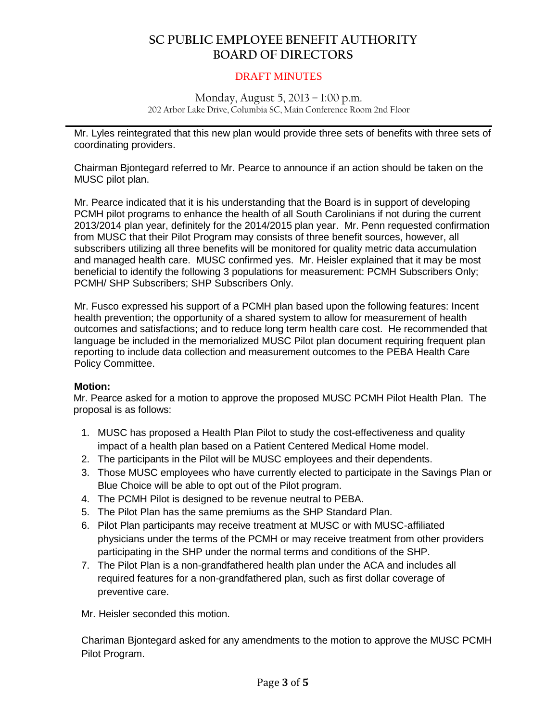#### DRAFT MINUTES

#### Monday, August 5, 2013 – 1:00 p.m. 202 Arbor Lake Drive, Columbia SC, Main Conference Room 2nd Floor

**\_\_\_\_\_\_\_\_\_\_\_\_\_\_\_\_\_\_\_\_\_\_\_\_\_\_\_\_\_\_\_\_\_\_\_\_\_\_\_\_\_\_\_\_\_\_\_\_\_\_\_\_\_\_\_\_\_\_\_\_\_\_\_\_\_\_\_\_\_\_\_\_\_\_\_\_\_\_** Mr. Lyles reintegrated that this new plan would provide three sets of benefits with three sets of coordinating providers.

Chairman Bjontegard referred to Mr. Pearce to announce if an action should be taken on the MUSC pilot plan.

Mr. Pearce indicated that it is his understanding that the Board is in support of developing PCMH pilot programs to enhance the health of all South Carolinians if not during the current 2013/2014 plan year, definitely for the 2014/2015 plan year. Mr. Penn requested confirmation from MUSC that their Pilot Program may consists of three benefit sources, however, all subscribers utilizing all three benefits will be monitored for quality metric data accumulation and managed health care. MUSC confirmed yes. Mr. Heisler explained that it may be most beneficial to identify the following 3 populations for measurement: PCMH Subscribers Only; PCMH/ SHP Subscribers; SHP Subscribers Only.

Mr. Fusco expressed his support of a PCMH plan based upon the following features: Incent health prevention; the opportunity of a shared system to allow for measurement of health outcomes and satisfactions; and to reduce long term health care cost. He recommended that language be included in the memorialized MUSC Pilot plan document requiring frequent plan reporting to include data collection and measurement outcomes to the PEBA Health Care Policy Committee.

#### **Motion:**

Mr. Pearce asked for a motion to approve the proposed MUSC PCMH Pilot Health Plan. The proposal is as follows:

- 1. MUSC has proposed a Health Plan Pilot to study the cost-effectiveness and quality impact of a health plan based on a Patient Centered Medical Home model.
- 2. The participants in the Pilot will be MUSC employees and their dependents.
- 3. Those MUSC employees who have currently elected to participate in the Savings Plan or Blue Choice will be able to opt out of the Pilot program.
- 4. The PCMH Pilot is designed to be revenue neutral to PEBA.
- 5. The Pilot Plan has the same premiums as the SHP Standard Plan.
- 6. Pilot Plan participants may receive treatment at MUSC or with MUSC-affiliated physicians under the terms of the PCMH or may receive treatment from other providers participating in the SHP under the normal terms and conditions of the SHP.
- 7. The Pilot Plan is a non-grandfathered health plan under the ACA and includes all required features for a non-grandfathered plan, such as first dollar coverage of preventive care.

Mr. Heisler seconded this motion.

Chariman Bjontegard asked for any amendments to the motion to approve the MUSC PCMH Pilot Program.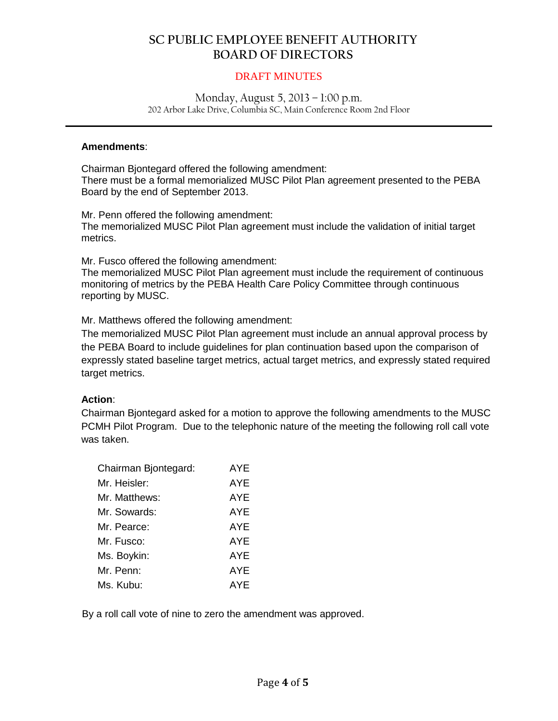#### DRAFT MINUTES

#### Monday, August 5, 2013 – 1:00 p.m. 202 Arbor Lake Drive, Columbia SC, Main Conference Room 2nd Floor

**\_\_\_\_\_\_\_\_\_\_\_\_\_\_\_\_\_\_\_\_\_\_\_\_\_\_\_\_\_\_\_\_\_\_\_\_\_\_\_\_\_\_\_\_\_\_\_\_\_\_\_\_\_\_\_\_\_\_\_\_\_\_\_\_\_\_\_\_\_\_\_\_\_\_\_\_\_\_**

#### **Amendments**:

Chairman Bjontegard offered the following amendment: There must be a formal memorialized MUSC Pilot Plan agreement presented to the PEBA Board by the end of September 2013.

Mr. Penn offered the following amendment: The memorialized MUSC Pilot Plan agreement must include the validation of initial target metrics.

Mr. Fusco offered the following amendment:

The memorialized MUSC Pilot Plan agreement must include the requirement of continuous monitoring of metrics by the PEBA Health Care Policy Committee through continuous reporting by MUSC.

Mr. Matthews offered the following amendment:

The memorialized MUSC Pilot Plan agreement must include an annual approval process by the PEBA Board to include guidelines for plan continuation based upon the comparison of expressly stated baseline target metrics, actual target metrics, and expressly stated required target metrics.

#### **Action**:

Chairman Bjontegard asked for a motion to approve the following amendments to the MUSC PCMH Pilot Program. Due to the telephonic nature of the meeting the following roll call vote was taken.

| Chairman Bjontegard: | AYE        |
|----------------------|------------|
| Mr. Heisler:         | AYE        |
| Mr. Matthews:        | AYE        |
| Mr. Sowards:         | AYE        |
| Mr. Pearce:          | <b>AYE</b> |
| Mr. Fusco:           | AYE        |
| Ms. Boykin:          | AYE        |
| Mr. Penn:            | <b>AYE</b> |
| Ms. Kubu:            | AYE        |

By a roll call vote of nine to zero the amendment was approved.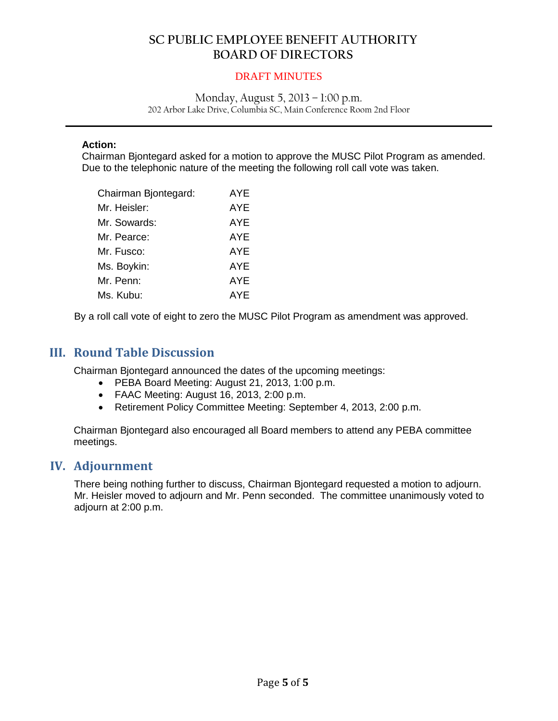#### DRAFT MINUTES

#### Monday, August 5, 2013 – 1:00 p.m. 202 Arbor Lake Drive, Columbia SC, Main Conference Room 2nd Floor

**\_\_\_\_\_\_\_\_\_\_\_\_\_\_\_\_\_\_\_\_\_\_\_\_\_\_\_\_\_\_\_\_\_\_\_\_\_\_\_\_\_\_\_\_\_\_\_\_\_\_\_\_\_\_\_\_\_\_\_\_\_\_\_\_\_\_\_\_\_\_\_\_\_\_\_\_\_\_**

#### **Action:**

Chairman Bjontegard asked for a motion to approve the MUSC Pilot Program as amended. Due to the telephonic nature of the meeting the following roll call vote was taken.

| Chairman Bjontegard: | <b>AYE</b> |
|----------------------|------------|
| Mr. Heisler:         | AYE        |
| Mr. Sowards:         | <b>AYE</b> |
| Mr. Pearce:          | AYE        |
| Mr. Fusco:           | <b>AYE</b> |
| Ms. Boykin:          | AYE        |
| Mr. Penn:            | AYE        |
| Ms. Kubu:            | <b>AYE</b> |
|                      |            |

By a roll call vote of eight to zero the MUSC Pilot Program as amendment was approved.

## **III. Round Table Discussion**

Chairman Bjontegard announced the dates of the upcoming meetings:

- PEBA Board Meeting: August 21, 2013, 1:00 p.m.
- FAAC Meeting: August 16, 2013, 2:00 p.m.
- Retirement Policy Committee Meeting: September 4, 2013, 2:00 p.m.

Chairman Bjontegard also encouraged all Board members to attend any PEBA committee meetings.

## **IV. Adjournment**

There being nothing further to discuss, Chairman Bjontegard requested a motion to adjourn. Mr. Heisler moved to adjourn and Mr. Penn seconded. The committee unanimously voted to adjourn at 2:00 p.m.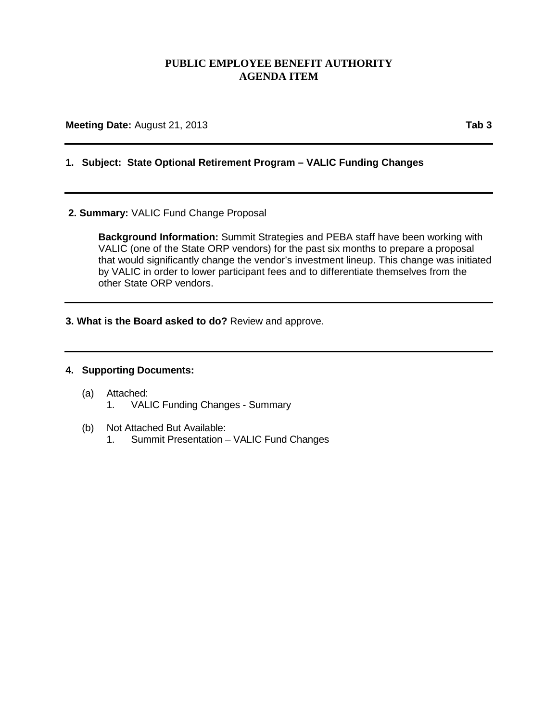## **PUBLIC EMPLOYEE BENEFIT AUTHORITY AGENDA ITEM**

**Meeting Date:** August 21, 2013 **Tab** 3

## **1. Subject: State Optional Retirement Program – VALIC Funding Changes**

#### **2. Summary:** VALIC Fund Change Proposal

**Background Information:** Summit Strategies and PEBA staff have been working with VALIC (one of the State ORP vendors) for the past six months to prepare a proposal that would significantly change the vendor's investment lineup. This change was initiated by VALIC in order to lower participant fees and to differentiate themselves from the other State ORP vendors.

**3. What is the Board asked to do?** Review and approve.

#### **4. Supporting Documents:**

- (a) Attached:
	- 1. VALIC Funding Changes Summary
- (b) Not Attached But Available:
	- 1. Summit Presentation VALIC Fund Changes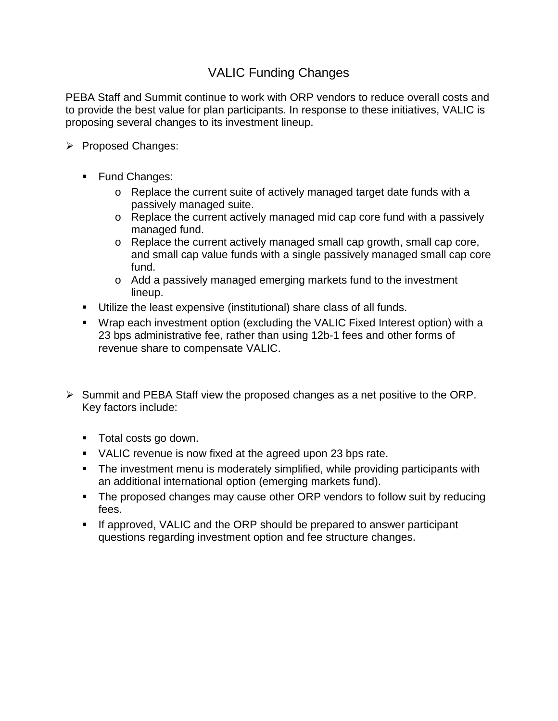# VALIC Funding Changes

PEBA Staff and Summit continue to work with ORP vendors to reduce overall costs and to provide the best value for plan participants. In response to these initiatives, VALIC is proposing several changes to its investment lineup.

- Proposed Changes:
	- **Fund Changes:** 
		- $\circ$  Replace the current suite of actively managed target date funds with a passively managed suite.
		- o Replace the current actively managed mid cap core fund with a passively managed fund.
		- o Replace the current actively managed small cap growth, small cap core, and small cap value funds with a single passively managed small cap core fund.
		- o Add a passively managed emerging markets fund to the investment lineup.
	- Utilize the least expensive (institutional) share class of all funds.
	- Wrap each investment option (excluding the VALIC Fixed Interest option) with a 23 bps administrative fee, rather than using 12b-1 fees and other forms of revenue share to compensate VALIC.
- $\triangleright$  Summit and PEBA Staff view the proposed changes as a net positive to the ORP. Key factors include:
	- **Total costs go down.**
	- VALIC revenue is now fixed at the agreed upon 23 bps rate.
	- The investment menu is moderately simplified, while providing participants with an additional international option (emerging markets fund).
	- The proposed changes may cause other ORP vendors to follow suit by reducing fees.
	- **If approved, VALIC and the ORP should be prepared to answer participant** questions regarding investment option and fee structure changes.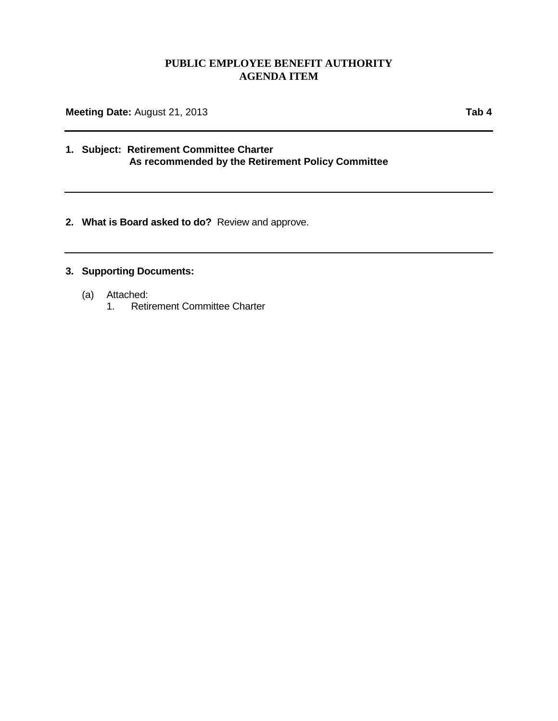## **PUBLIC EMPLOYEE BENEFIT AUTHORITY AGENDA ITEM**

**Meeting Date:** August 21, 2013 **Tab 4**

### **1. Subject: Retirement Committee Charter As recommended by the Retirement Policy Committee**

**2. What is Board asked to do?** Review and approve.

## **3. Supporting Documents:**

- (a) Attached:
	- Retirement Committee Charter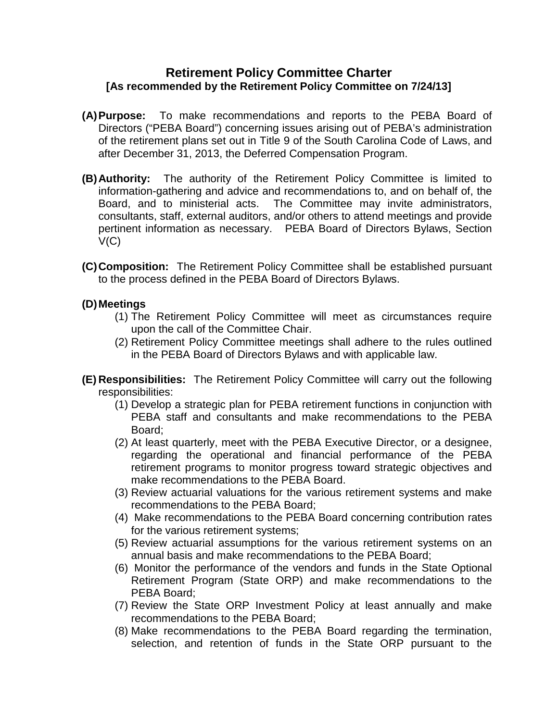## **Retirement Policy Committee Charter [As recommended by the Retirement Policy Committee on 7/24/13]**

- **(A)Purpose:** To make recommendations and reports to the PEBA Board of Directors ("PEBA Board") concerning issues arising out of PEBA's administration of the retirement plans set out in Title 9 of the South Carolina Code of Laws, and after December 31, 2013, the Deferred Compensation Program.
- **(B)Authority:** The authority of the Retirement Policy Committee is limited to information-gathering and advice and recommendations to, and on behalf of, the Board, and to ministerial acts. The Committee may invite administrators, consultants, staff, external auditors, and/or others to attend meetings and provide pertinent information as necessary. PEBA Board of Directors Bylaws, Section V(C)
- **(C)Composition:** The Retirement Policy Committee shall be established pursuant to the process defined in the PEBA Board of Directors Bylaws.

## **(D)Meetings**

- (1) The Retirement Policy Committee will meet as circumstances require upon the call of the Committee Chair.
- (2) Retirement Policy Committee meetings shall adhere to the rules outlined in the PEBA Board of Directors Bylaws and with applicable law.
- **(E) Responsibilities:** The Retirement Policy Committee will carry out the following responsibilities:
	- (1) Develop a strategic plan for PEBA retirement functions in conjunction with PEBA staff and consultants and make recommendations to the PEBA Board;
	- (2) At least quarterly, meet with the PEBA Executive Director, or a designee, regarding the operational and financial performance of the PEBA retirement programs to monitor progress toward strategic objectives and make recommendations to the PEBA Board.
	- (3) Review actuarial valuations for the various retirement systems and make recommendations to the PEBA Board;
	- (4) Make recommendations to the PEBA Board concerning contribution rates for the various retirement systems;
	- (5) Review actuarial assumptions for the various retirement systems on an annual basis and make recommendations to the PEBA Board;
	- (6) Monitor the performance of the vendors and funds in the State Optional Retirement Program (State ORP) and make recommendations to the PEBA Board;
	- (7) Review the State ORP Investment Policy at least annually and make recommendations to the PEBA Board;
	- (8) Make recommendations to the PEBA Board regarding the termination, selection, and retention of funds in the State ORP pursuant to the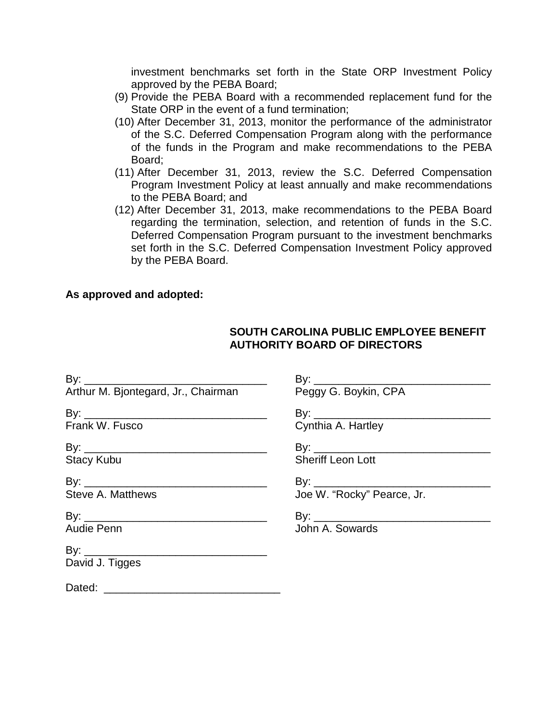investment benchmarks set forth in the State ORP Investment Policy approved by the PEBA Board;

- (9) Provide the PEBA Board with a recommended replacement fund for the State ORP in the event of a fund termination;
- (10) After December 31, 2013, monitor the performance of the administrator of the S.C. Deferred Compensation Program along with the performance of the funds in the Program and make recommendations to the PEBA Board;
- (11) After December 31, 2013, review the S.C. Deferred Compensation Program Investment Policy at least annually and make recommendations to the PEBA Board; and
- (12) After December 31, 2013, make recommendations to the PEBA Board regarding the termination, selection, and retention of funds in the S.C. Deferred Compensation Program pursuant to the investment benchmarks set forth in the S.C. Deferred Compensation Investment Policy approved by the PEBA Board.

## **As approved and adopted:**

## **SOUTH CAROLINA PUBLIC EMPLOYEE BENEFIT AUTHORITY BOARD OF DIRECTORS**

| Frank W. Fusco    | Cynthia A. Hartley         |
|-------------------|----------------------------|
|                   |                            |
| <b>Stacy Kubu</b> | <b>Sheriff Leon Lott</b>   |
|                   |                            |
| Steve A. Matthews | Joe W. "Rocky" Pearce, Jr. |
|                   |                            |
| Audie Penn        | John A. Sowards            |
| David J. Tigges   |                            |
|                   |                            |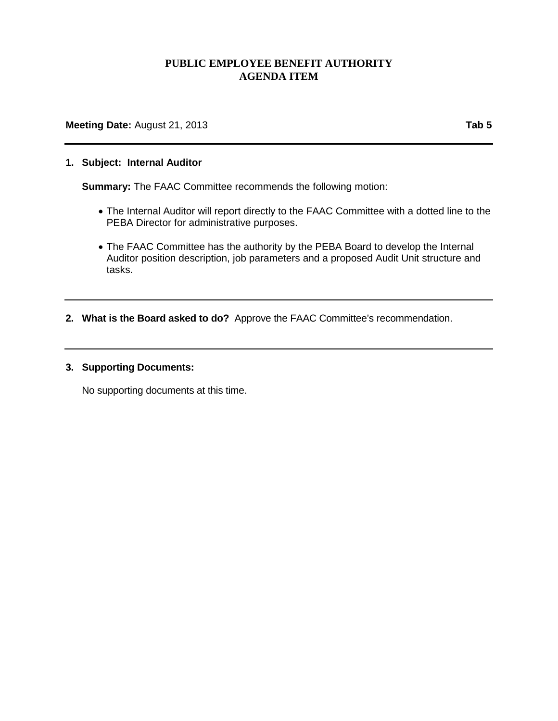## **PUBLIC EMPLOYEE BENEFIT AUTHORITY AGENDA ITEM**

**Meeting Date:** August 21, 2013 **Tab 5** 

#### **1. Subject: Internal Auditor**

**Summary:** The FAAC Committee recommends the following motion:

- The Internal Auditor will report directly to the FAAC Committee with a dotted line to the PEBA Director for administrative purposes.
- The FAAC Committee has the authority by the PEBA Board to develop the Internal Auditor position description, job parameters and a proposed Audit Unit structure and tasks.
- **2. What is the Board asked to do?** Approve the FAAC Committee's recommendation.

#### **3. Supporting Documents:**

No supporting documents at this time.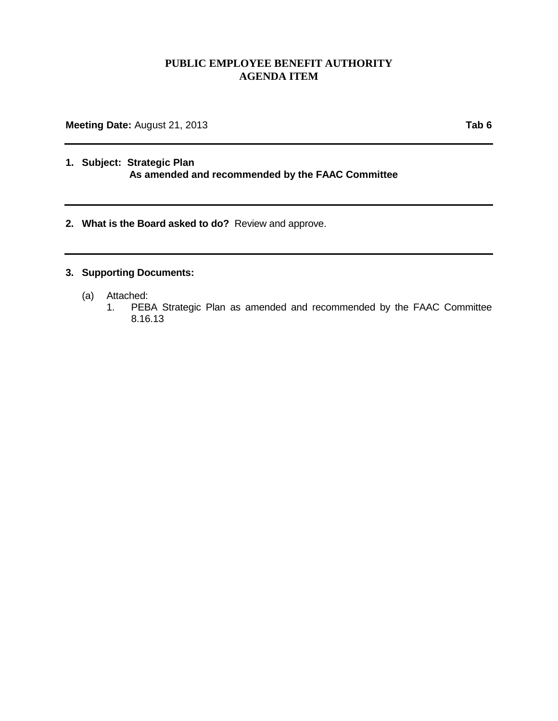## **PUBLIC EMPLOYEE BENEFIT AUTHORITY AGENDA ITEM**

**Meeting Date:** August 21, 2013 **Tab 6** 

### **1. Subject: Strategic Plan As amended and recommended by the FAAC Committee**

**2. What is the Board asked to do?** Review and approve.

## **3. Supporting Documents:**

- (a) Attached:
	- PEBA Strategic Plan as amended and recommended by the FAAC Committee 8.16.13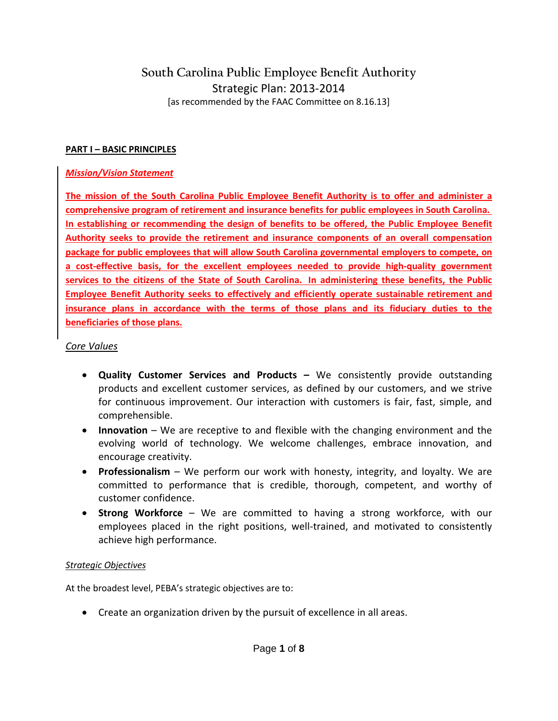# **South Carolina Public Employee Benefit Authority** Strategic Plan: 2013-2014 [as recommended by the FAAC Committee on 8.16.13]

### **PART I – BASIC PRINCIPLES**

### *Mission/Vision Statement*

**The mission of the South Carolina Public Employee Benefit Authority is to offer and administer a comprehensive program of retirement and insurance benefits for public employees in South Carolina. In establishing or recommending the design of benefits to be offered, the Public Employee Benefit Authority seeks to provide the retirement and insurance components of an overall compensation package for public employees that will allow South Carolina governmental employers to compete, on a cost-effective basis, for the excellent employees needed to provide high-quality government services to the citizens of the State of South Carolina. In administering these benefits, the Public Employee Benefit Authority seeks to effectively and efficiently operate sustainable retirement and insurance plans in accordance with the terms of those plans and its fiduciary duties to the beneficiaries of those plans.**

### *Core Values*

- **Quality Customer Services and Products –** We consistently provide outstanding products and excellent customer services, as defined by our customers, and we strive for continuous improvement. Our interaction with customers is fair, fast, simple, and comprehensible.
- **Innovation** We are receptive to and flexible with the changing environment and the evolving world of technology. We welcome challenges, embrace innovation, and encourage creativity.
- **Professionalism** We perform our work with honesty, integrity, and loyalty. We are committed to performance that is credible, thorough, competent, and worthy of customer confidence.
- **Strong Workforce** We are committed to having a strong workforce, with our employees placed in the right positions, well-trained, and motivated to consistently achieve high performance.

## *Strategic Objectives*

At the broadest level, PEBA's strategic objectives are to:

• Create an organization driven by the pursuit of excellence in all areas.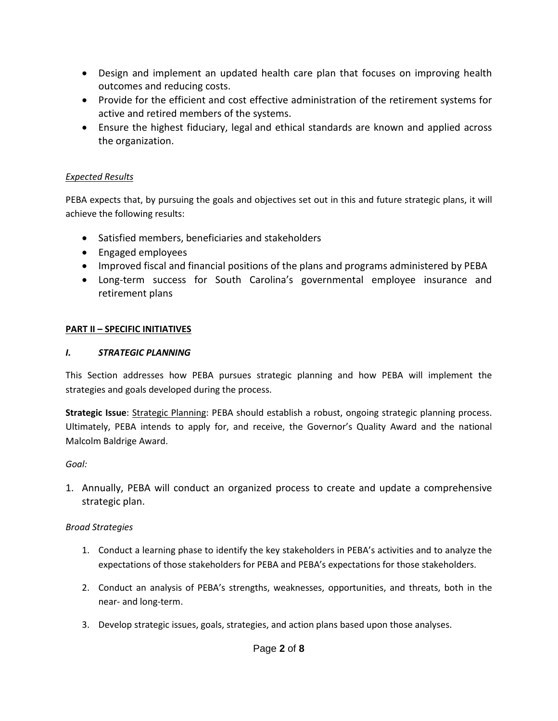- Design and implement an updated health care plan that focuses on improving health outcomes and reducing costs.
- Provide for the efficient and cost effective administration of the retirement systems for active and retired members of the systems.
- Ensure the highest fiduciary, legal and ethical standards are known and applied across the organization.

## *Expected Results*

PEBA expects that, by pursuing the goals and objectives set out in this and future strategic plans, it will achieve the following results:

- Satisfied members, beneficiaries and stakeholders
- Engaged employees
- Improved fiscal and financial positions of the plans and programs administered by PEBA
- Long-term success for South Carolina's governmental employee insurance and retirement plans

## **PART II – SPECIFIC INITIATIVES**

## *I. STRATEGIC PLANNING*

This Section addresses how PEBA pursues strategic planning and how PEBA will implement the strategies and goals developed during the process.

**Strategic Issue**: Strategic Planning: PEBA should establish a robust, ongoing strategic planning process. Ultimately, PEBA intends to apply for, and receive, the Governor's Quality Award and the national Malcolm Baldrige Award.

## *Goal:*

1. Annually, PEBA will conduct an organized process to create and update a comprehensive strategic plan.

## *Broad Strategies*

- 1. Conduct a learning phase to identify the key stakeholders in PEBA's activities and to analyze the expectations of those stakeholders for PEBA and PEBA's expectations for those stakeholders.
- 2. Conduct an analysis of PEBA's strengths, weaknesses, opportunities, and threats, both in the near- and long-term.
- 3. Develop strategic issues, goals, strategies, and action plans based upon those analyses.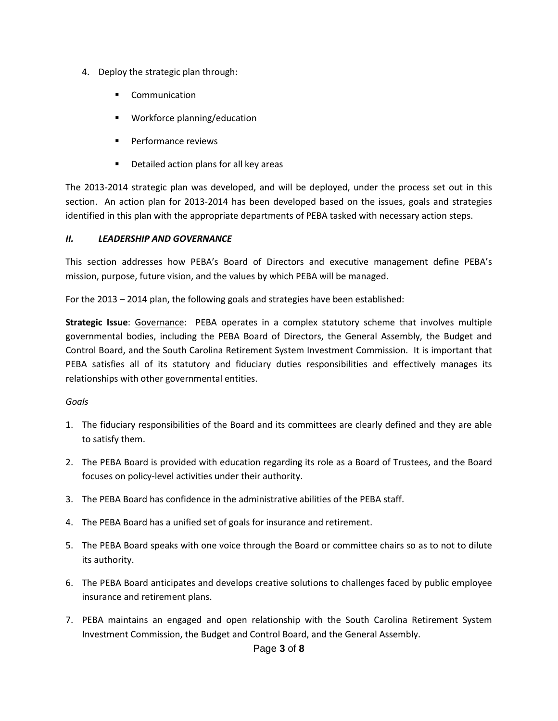- 4. Deploy the strategic plan through:
	- Communication
	- Workforce planning/education
	- **Performance reviews**
	- **•** Detailed action plans for all key areas

The 2013-2014 strategic plan was developed, and will be deployed, under the process set out in this section. An action plan for 2013-2014 has been developed based on the issues, goals and strategies identified in this plan with the appropriate departments of PEBA tasked with necessary action steps.

#### *II. LEADERSHIP AND GOVERNANCE*

This section addresses how PEBA's Board of Directors and executive management define PEBA's mission, purpose, future vision, and the values by which PEBA will be managed.

For the 2013 – 2014 plan, the following goals and strategies have been established:

**Strategic Issue**: Governance: PEBA operates in a complex statutory scheme that involves multiple governmental bodies, including the PEBA Board of Directors, the General Assembly, the Budget and Control Board, and the South Carolina Retirement System Investment Commission. It is important that PEBA satisfies all of its statutory and fiduciary duties responsibilities and effectively manages its relationships with other governmental entities.

#### *Goals*

- 1. The fiduciary responsibilities of the Board and its committees are clearly defined and they are able to satisfy them.
- 2. The PEBA Board is provided with education regarding its role as a Board of Trustees, and the Board focuses on policy-level activities under their authority.
- 3. The PEBA Board has confidence in the administrative abilities of the PEBA staff.
- 4. The PEBA Board has a unified set of goals for insurance and retirement.
- 5. The PEBA Board speaks with one voice through the Board or committee chairs so as to not to dilute its authority.
- 6. The PEBA Board anticipates and develops creative solutions to challenges faced by public employee insurance and retirement plans.
- 7. PEBA maintains an engaged and open relationship with the South Carolina Retirement System Investment Commission, the Budget and Control Board, and the General Assembly.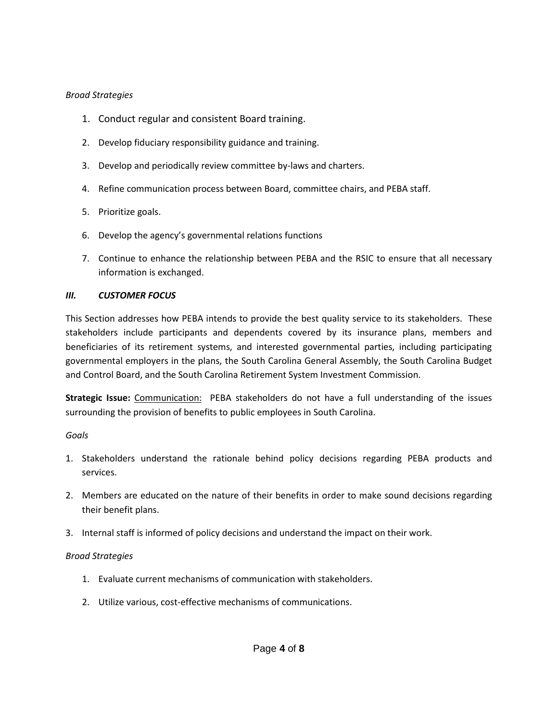### *Broad Strategies*

- 1. Conduct regular and consistent Board training.
- 2. Develop fiduciary responsibility guidance and training.
- 3. Develop and periodically review committee by-laws and charters.
- 4. Refine communication process between Board, committee chairs, and PEBA staff.
- 5. Prioritize goals.
- 6. Develop the agency's governmental relations functions
- 7. Continue to enhance the relationship between PEBA and the RSIC to ensure that all necessary information is exchanged.

## *III. CUSTOMER FOCUS*

This Section addresses how PEBA intends to provide the best quality service to its stakeholders. These stakeholders include participants and dependents covered by its insurance plans, members and beneficiaries of its retirement systems, and interested governmental parties, including participating governmental employers in the plans, the South Carolina General Assembly, the South Carolina Budget and Control Board, and the South Carolina Retirement System Investment Commission.

**Strategic Issue:** Communication: PEBA stakeholders do not have a full understanding of the issues surrounding the provision of benefits to public employees in South Carolina.

## *Goals*

- 1. Stakeholders understand the rationale behind policy decisions regarding PEBA products and services.
- 2. Members are educated on the nature of their benefits in order to make sound decisions regarding their benefit plans.
- 3. Internal staff is informed of policy decisions and understand the impact on their work.

## *Broad Strategies*

- 1. Evaluate current mechanisms of communication with stakeholders.
- 2. Utilize various, cost-effective mechanisms of communications.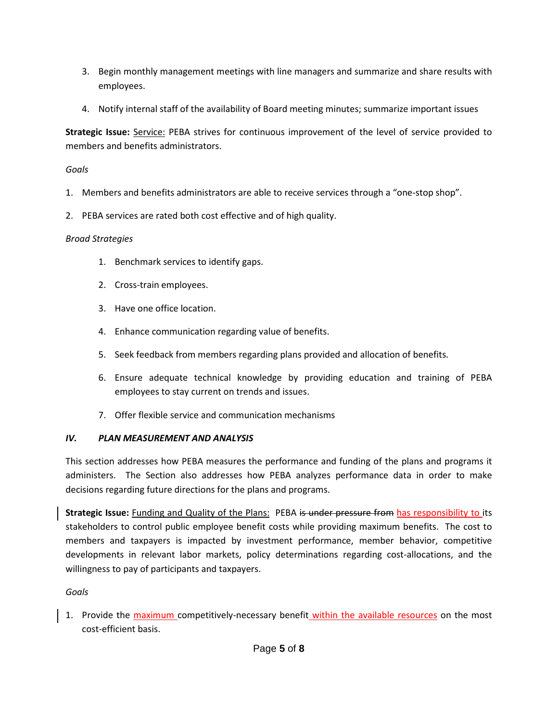- 3. Begin monthly management meetings with line managers and summarize and share results with employees.
- 4. Notify internal staff of the availability of Board meeting minutes; summarize important issues

**Strategic Issue:** Service: PEBA strives for continuous improvement of the level of service provided to members and benefits administrators.

### *Goals*

- 1. Members and benefits administrators are able to receive services through a "one-stop shop".
- 2. PEBA services are rated both cost effective and of high quality.

#### *Broad Strategies*

- 1. Benchmark services to identify gaps.
- 2. Cross-train employees.
- 3. Have one office location.
- 4. Enhance communication regarding value of benefits.
- 5. Seek feedback from members regarding plans provided and allocation of benefits.
- 6. Ensure adequate technical knowledge by providing education and training of PEBA employees to stay current on trends and issues.
- 7. Offer flexible service and communication mechanisms

#### *IV. PLAN MEASUREMENT AND ANALYSIS*

This section addresses how PEBA measures the performance and funding of the plans and programs it administers. The Section also addresses how PEBA analyzes performance data in order to make decisions regarding future directions for the plans and programs.

**Strategic Issue:** Funding and Quality of the Plans: PEBA is under pressure from has responsibility to its stakeholders to control public employee benefit costs while providing maximum benefits. The cost to members and taxpayers is impacted by investment performance, member behavior, competitive developments in relevant labor markets, policy determinations regarding cost-allocations, and the willingness to pay of participants and taxpayers.

## *Goals*

1. Provide the maximum competitively-necessary benefit within the available resources on the most cost-efficient basis.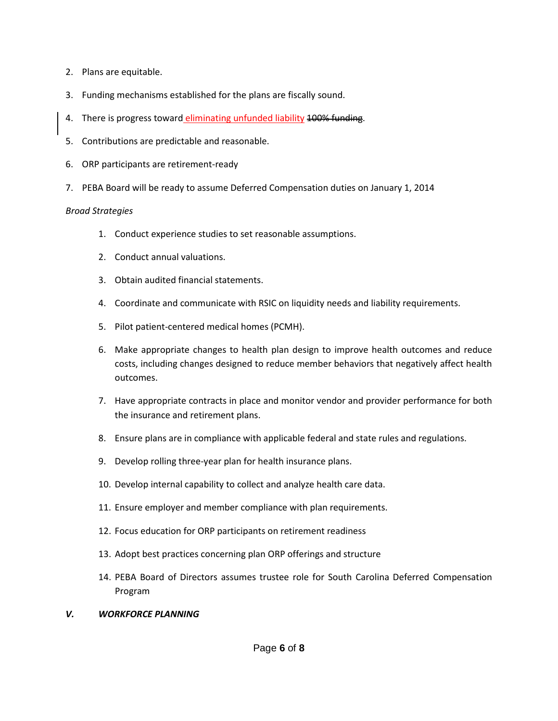- 2. Plans are equitable.
- 3. Funding mechanisms established for the plans are fiscally sound.
- 4. There is progress toward *eliminating unfunded liability* 100% funding.
- 5. Contributions are predictable and reasonable.
- 6. ORP participants are retirement-ready
- 7. PEBA Board will be ready to assume Deferred Compensation duties on January 1, 2014

#### *Broad Strategies*

- 1. Conduct experience studies to set reasonable assumptions.
- 2. Conduct annual valuations.
- 3. Obtain audited financial statements.
- 4. Coordinate and communicate with RSIC on liquidity needs and liability requirements.
- 5. Pilot patient-centered medical homes (PCMH).
- 6. Make appropriate changes to health plan design to improve health outcomes and reduce costs, including changes designed to reduce member behaviors that negatively affect health outcomes.
- 7. Have appropriate contracts in place and monitor vendor and provider performance for both the insurance and retirement plans.
- 8. Ensure plans are in compliance with applicable federal and state rules and regulations.
- 9. Develop rolling three-year plan for health insurance plans.
- 10. Develop internal capability to collect and analyze health care data.
- 11. Ensure employer and member compliance with plan requirements.
- 12. Focus education for ORP participants on retirement readiness
- 13. Adopt best practices concerning plan ORP offerings and structure
- 14. PEBA Board of Directors assumes trustee role for South Carolina Deferred Compensation Program
- *V. WORKFORCE PLANNING*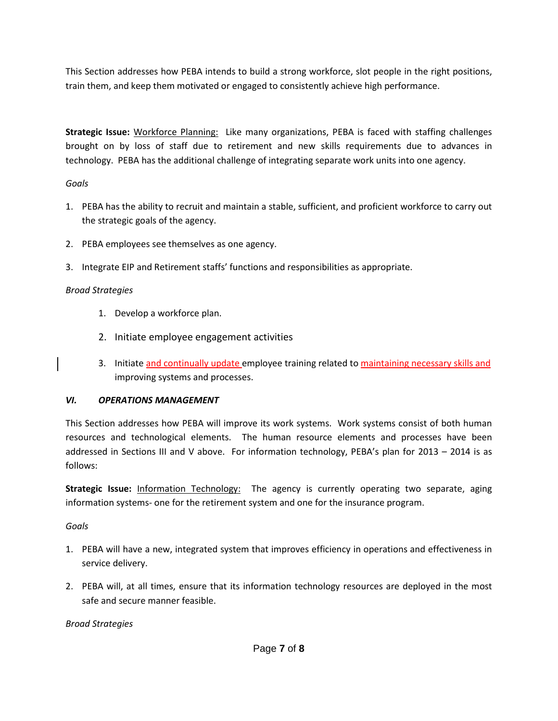This Section addresses how PEBA intends to build a strong workforce, slot people in the right positions, train them, and keep them motivated or engaged to consistently achieve high performance.

**Strategic Issue:** Workforce Planning: Like many organizations, PEBA is faced with staffing challenges brought on by loss of staff due to retirement and new skills requirements due to advances in technology. PEBA has the additional challenge of integrating separate work units into one agency.

## *Goals*

- 1. PEBA has the ability to recruit and maintain a stable, sufficient, and proficient workforce to carry out the strategic goals of the agency.
- 2. PEBA employees see themselves as one agency.
- 3. Integrate EIP and Retirement staffs' functions and responsibilities as appropriate.

## *Broad Strategies*

- 1. Develop a workforce plan.
- 2. Initiate employee engagement activities
- 3. Initiate and continually update employee training related to maintaining necessary skills and improving systems and processes.

## *VI. OPERATIONS MANAGEMENT*

This Section addresses how PEBA will improve its work systems. Work systems consist of both human resources and technological elements. The human resource elements and processes have been addressed in Sections III and V above. For information technology, PEBA's plan for 2013 – 2014 is as follows:

**Strategic Issue:** Information Technology: The agency is currently operating two separate, aging information systems- one for the retirement system and one for the insurance program.

## *Goals*

- 1. PEBA will have a new, integrated system that improves efficiency in operations and effectiveness in service delivery.
- 2. PEBA will, at all times, ensure that its information technology resources are deployed in the most safe and secure manner feasible.

*Broad Strategies*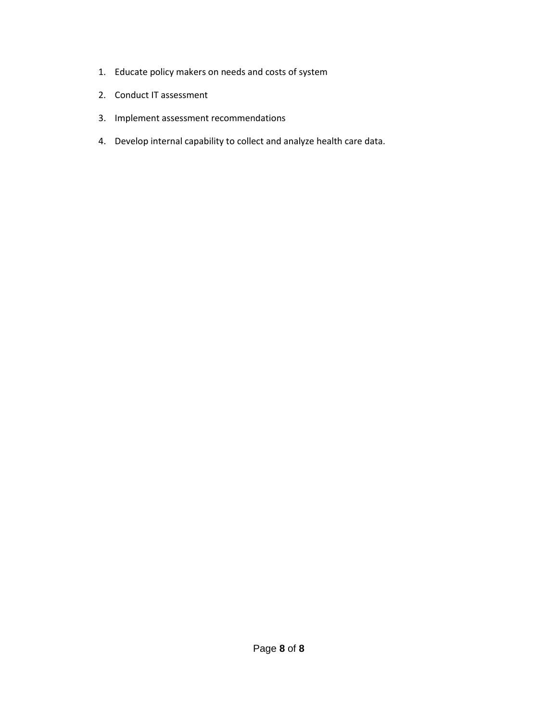- 1. Educate policy makers on needs and costs of system
- 2. Conduct IT assessment
- 3. Implement assessment recommendations
- 4. Develop internal capability to collect and analyze health care data.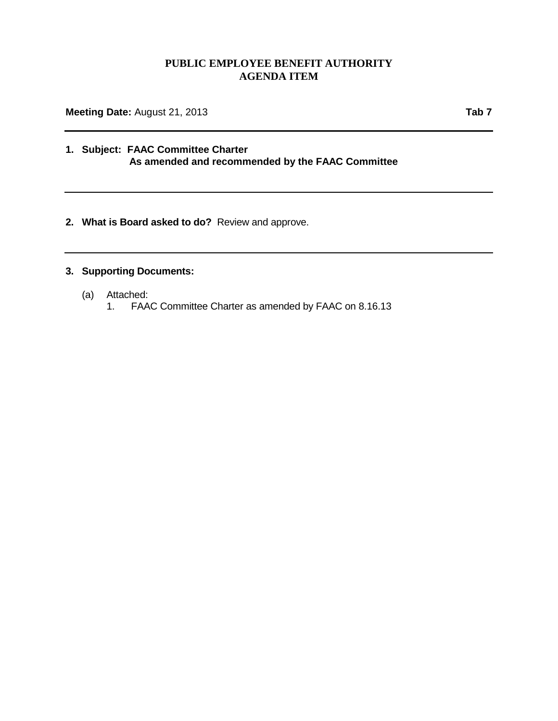### **PUBLIC EMPLOYEE BENEFIT AUTHORITY AGENDA ITEM**

**Meeting Date:** August 21, 2013 **Tab 7** 

### **1. Subject: FAAC Committee Charter As amended and recommended by the FAAC Committee**

**2. What is Board asked to do?** Review and approve.

### **3. Supporting Documents:**

- (a) Attached:
	- FAAC Committee Charter as amended by FAAC on 8.16.13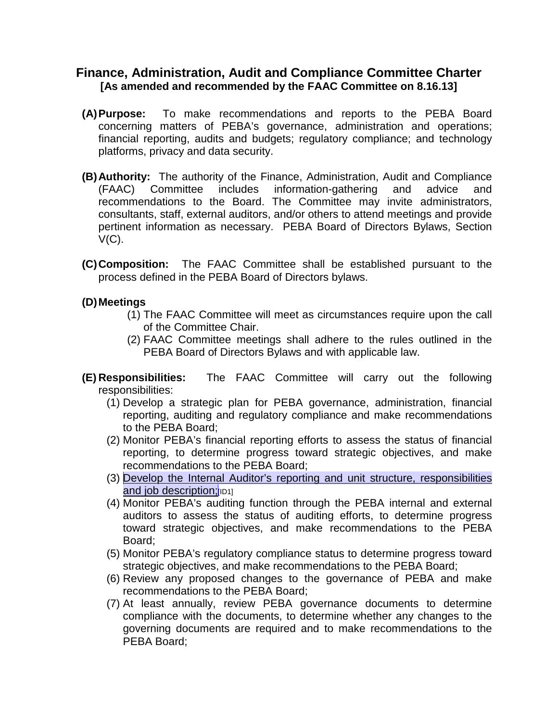## **Finance, Administration, Audit and Compliance Committee Charter [As amended and recommended by the FAAC Committee on 8.16.13]**

- **(A)Purpose:** To make recommendations and reports to the PEBA Board concerning matters of PEBA's governance, administration and operations; financial reporting, audits and budgets; regulatory compliance; and technology platforms, privacy and data security.
- **(B)Authority:** The authority of the Finance, Administration, Audit and Compliance (FAAC) Committee includes information-gathering and advice and recommendations to the Board. The Committee may invite administrators, consultants, staff, external auditors, and/or others to attend meetings and provide pertinent information as necessary. PEBA Board of Directors Bylaws, Section  $V(C)$ .
- **(C)Composition:** The FAAC Committee shall be established pursuant to the process defined in the PEBA Board of Directors bylaws.

## **(D)Meetings**

- (1) The FAAC Committee will meet as circumstances require upon the call of the Committee Chair.
- (2) FAAC Committee meetings shall adhere to the rules outlined in the PEBA Board of Directors Bylaws and with applicable law.
- **(E) Responsibilities:** The FAAC Committee will carry out the following responsibilities:
	- (1) Develop a strategic plan for PEBA governance, administration, financial reporting, auditing and regulatory compliance and make recommendations to the PEBA Board;
	- (2) Monitor PEBA's financial reporting efforts to assess the status of financial reporting, to determine progress toward strategic objectives, and make recommendations to the PEBA Board;
	- (3) Develop the Internal Auditor's reporting and unit structure, responsibilities and job description; [ID1]
	- (4) Monitor PEBA's auditing function through the PEBA internal and external auditors to assess the status of auditing efforts, to determine progress toward strategic objectives, and make recommendations to the PEBA Board;
	- (5) Monitor PEBA's regulatory compliance status to determine progress toward strategic objectives, and make recommendations to the PEBA Board;
	- (6) Review any proposed changes to the governance of PEBA and make recommendations to the PEBA Board;
	- (7) At least annually, review PEBA governance documents to determine compliance with the documents, to determine whether any changes to the governing documents are required and to make recommendations to the PEBA Board;